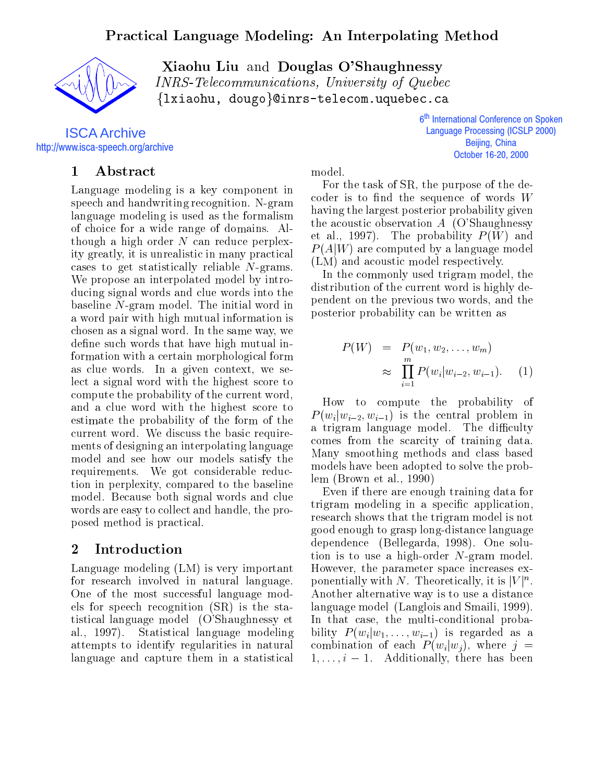

Xiaohu Liu and Douglas O'Shaughnessy INRS-Telecommunications, University of Quebec  $\{lxio}$ hu, dougo $\emptyset$ lnrs-telecom.uquebec.ca

ISCA Archive http://www.isca-speech.org/archive

# 1 Abstract

Language modeling is a key component in speech and handwriting recognition. N-gram language modeling is used as the formalism of choice for a wide range of domains. Although a high order  $N$  can reduce perplexity greatly, it is unrealistic in many practical cases to get statistically reliable N-grams. We propose an interpolated model by introducing signal words and clue words into the baseline N-gram model. The initial word in a word pair with high mutual information is chosen as a signal word. In the same way, we define such words that have high mutual indenote such words that have high mutual information with a certain morphological form as clue words. In a given context, we select a signal word with the highest score to compute the probability of the current word, and a clue word with the highest score to estimate the probability of the form of the current word. We discuss the basic requirements of designing an interpolating language model and see how our models satisfy the requirements. We got considerable reduction in perplexity, compared to the baseline tion in perplexity, compared to the baseline model. Because both signal words and clue words are easy to collect and handle, the proposed method is practical.

### $\overline{2}$ Introduction

Language modeling (LM) is very important for research involved in natural language. One of the most successful language models for speech recognition (SR) is the statistical language model (O'Shaughnessy et al., 1997). Statistical language modeling attempts to identify regularities in natural language and capture them in a statistical model.

6<sup>th</sup> International Conference on Spoken j **Language Processing (ICSLP 2000)** Beijing, China October 16-20, 2000

For the task of SR, the purpose of the decoder is to find the sequence of words  $W$ having the largest posterior probability given the acoustic observation  $A$  (O'Shaughnessy et al., 1997). The probability  $P(W)$  and  $P(A|W)$  are computed by a language model (LM) and acoustic model respectively.

In the commonly used trigram model, the distribution of the current word is highly dependent on the previous two words, and the posterior probability can be written as

$$
P(W) = P(w_1, w_2, \dots, w_m)
$$
  
\n
$$
\approx \prod_{i=1}^{m} P(w_i | w_{i-2}, w_{i-1}).
$$
 (1)

How to compute the probability of  $P(w_i|w_{i-2}, w_{i-1})$  is the central problem in a trigram language model. The difficulty comes from the scarcity of training data. Many smoothing methods and class based models have been adopted to solve the problem (Brown etal., 1990)

Even if there are enough training data for trigram modeling in a specific application, research shows that the trigram model is not good enough to grasp long-distance language dependence (Bellegarda, 1998). One solution is to use a high-order N-gram model. However, the parameter space increases exponentially with N. Theoretically, it is  $|V|^n$ . Another alternative way is to use a distance language model (Langlois and Smaili, 1999). In that case, the multi-conditional probability  $P(w_i|w_1,\ldots,w_{i-1})$  is regarded as a combination of each  $P(w_i|w_j)$ , where  $j =$  $1,\ldots,i-1.$  Additionally, there has been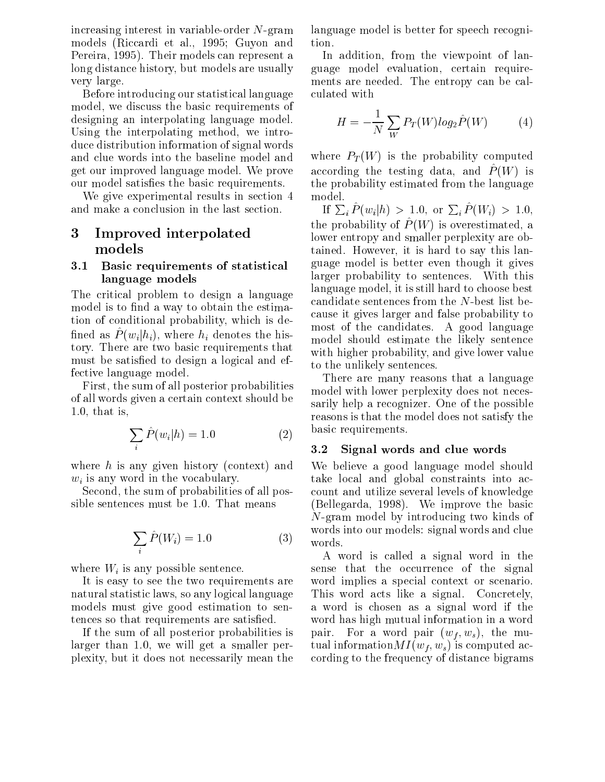increasing interest in variable-order N-gram models (Riccardi et al., 1995; Guyon and Pereira, 1995). Their models can represent a long distance history, but models are usually very large.

Before introducing our statistical language model, we discuss the basic requirements of designing an interpolating language model. Using the interpolating method, we introduce distribution information of signal words and clue words into the baseline model and get our improved language model. We prove our model satisfies the basic requirements.

We give experimental results in section 4 and make a conclusion in the last section.

# 3 Improved interpolated models

### 3.1 Basic requirements of statistical language models

The critical problem to design a language model is to find a way to obtain the estimation of conditional probability, which is de nned as  $I(w_i|\mu_i)$ , where  $\mu_i$  denotes the history. There are two basic requirements that must be satisfied to design a logical and effective language model.

First, the sum of all posterior probabilities of all words given a certain context should be 1.0, that is,

$$
\sum_{i} \hat{P}(w_i|h) = 1.0
$$
 (2) bas  
3.2

where  $h$  is any given history (context) and  $w_i$  is any word in the vocabulary.

Second, the sum of probabilities of all possible sentences must be 1.0. That means

$$
\sum_{i} \hat{P}(W_i) = 1.0 \tag{3}
$$

where  $W_i$  is any possible sentence.

It is easy to see the two requirements are natural statistic laws, so any logical language models must give good estimation to sentences so that requirements are satisfied.

If the sum of all posterior probabilities is pair. larger than 1.0, we will get a smaller perplexity, but it does not necessarily mean the

language model is better for speech recognition.

In addition, from the viewpoint of language model evaluation, certain requirements are needed. The entropy can be calculated with

$$
H = -\frac{1}{N} \sum_{W} P_T(W) \log_2 \hat{P}(W) \tag{4}
$$

where  $P_T(W)$  is the probability computed according the testing data, and  $P(W)$  is the probability estimated from the language model.

If  $\sum_{i} P(w_i | h) > 1.0$ , or  $\sum_{i} P(W_i) > 1.0$ , the probability of  $P$  (W) is overestimated, a lower entropy and smaller perplexity are obtained. However, it is hard to say this language model is better even though it gives larger probability to sentences. With this language model, it is still hard to choose best candidate sentences from the N-best list because it gives larger and false probability to most of the candidates. A good language model should estimate the likely sentence with higher probability, and give lower value to the unlikely sentences.

There are many reasons that a language model with lower perplexity does not necessarily help a recognizer. One of the possible reasons is that the model does not satisfy the basic requirements.

#### 3.2Signal words and clue words

We believe a good language model should take local and global constraints into account and utilize several levels of knowledge (Bellegarda, 1998). We improve the basic N-gram model by introducing two kinds of words into our models: signal words and clue words.

A word is called a signal word in the sense that the occurrence of the signal word implies a special context or scenario. This word acts like a signal. Concretely, a word is chosen as a signal word if the word has high mutual information in a word For a word pair  $(w_f, w_s)$ , the mutual information  $MI(w_f, w_s)$  is computed according to the frequency of distance bigrams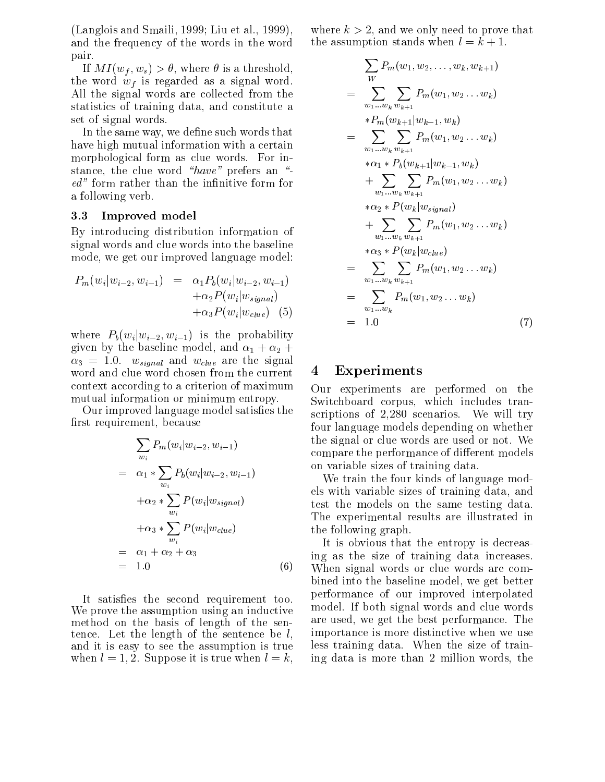(Langlois and Smaili, 1999; Liu et al., 1999), and the frequency of the words in the word pair.

If  $MI(w_f, w_s) > \theta$ , where  $\theta$  is a threshold, the word  $w_f$  is regarded as a signal word. All the signal words are collected from the statistics of training data, and constitute a set of signal words.

In the same way, we define such words that have high mutual information with a certain morphological form as clue words. For instance, the clue word  $\mathscr{L}$  and  $\mathscr{L}$ ed" form rather than the infinitive form for a following verb.

#### 3.3Improved model

By introducing distribution information of signal words and clue words into the baseline mode, we get our improved language model:

$$
P_m(w_i|w_{i-2}, w_{i-1}) = \alpha_1 P_b(w_i|w_{i-2}, w_{i-1})
$$
  
+ $\alpha_2 P(w_i|w_{signal})$   
+ $\alpha_3 P(w_i|w_{clue})$  (5)

where  $P_b(w_i|w_{i-2}, w_{i-1})$  is the probability given by the baseline model, and  $\alpha_1 + \alpha_2 +$  $\alpha_3 = 1.0$ .  $w_{signal}$  and  $w_{clue}$  are the signal<br>word and clue word chosen from the current 4 word and clue word chosen from the current context according to a criterion of maximum mutual information or minimum entropy. mutual information or minimum entropy.

Our improved language model satisfies the first requirement, because

$$
\sum_{w_i} P_m(w_i|w_{i-2}, w_{i-1})
$$
\n
$$
= \alpha_1 * \sum_{w_i} P_b(w_i|w_{i-2}, w_{i-1})
$$
\n
$$
+ \alpha_2 * \sum_{w_i} P(w_i|w_{signal})
$$
\n
$$
+ \alpha_3 * \sum_{w_i} P(w_i|w_{clue})
$$
\n
$$
= \alpha_1 + \alpha_2 + \alpha_3
$$
\n
$$
= 1.0
$$
\n
$$
(6)
$$
\n
$$
W
$$
\n
$$
= \alpha_1 + \alpha_2 + \alpha_3
$$

It satisfies the second requirement too. We prove the assumption using an inductive method on the basis of length of the sentence. Let the length of the sentence be  $l$ , and it is easy to see the assumption is true when  $l = 1, 2$ . Suppose it is true when  $l = k$ , where  $k > 2$ , and we only need to prove that the assumption stands when  $l = k + 1$ .

$$
\sum_{W} P_{m}(w_{1}, w_{2}, \ldots, w_{k}, w_{k+1})
$$
\n
$$
= \sum_{w_{1}...w_{k}} \sum_{w_{k+1}} P_{m}(w_{1}, w_{2}...w_{k})
$$
\n
$$
*P_{m}(w_{k+1}|w_{k-1}, w_{k})
$$
\n
$$
= \sum_{w_{1}...w_{k}} \sum_{w_{k+1}} P_{m}(w_{1}, w_{2}...w_{k})
$$
\n
$$
* \alpha_{1} * P_{b}(w_{k+1}|w_{k-1}, w_{k})
$$
\n
$$
+ \sum_{w_{1}...w_{k}} \sum_{w_{k+1}} P_{m}(w_{1}, w_{2}...w_{k})
$$
\n
$$
* \alpha_{2} * P(w_{k}|w_{signal})
$$
\n
$$
+ \sum_{w_{1}...w_{k}} \sum_{w_{k+1}} P_{m}(w_{1}, w_{2}...w_{k})
$$
\n
$$
* \alpha_{3} * P(w_{k}|w_{clue})
$$
\n
$$
= \sum_{w_{1}...w_{k}} \sum_{w_{k+1}} P_{m}(w_{1}, w_{2}...w_{k})
$$
\n
$$
= \sum_{w_{1}...w_{k}} P_{m}(w_{1}, w_{2}...w_{k})
$$
\n
$$
= 1.0
$$
\n(7)

## **Experiments**

Our experiments are performed on the Switchboard corpus, which includes transcriptions of 2,280 scenarios. We will try four language models depending on whether the signal or clue words are used or not. We compare the performance of different models on variable sizes of training data.

We train the four kinds of language models with variable sizes of training data, and test the models on the same testing data. The experimental results are illustrated in the following graph.

It is obvious that the entropy is decreasing as the size of training data increases. When signal words or clue words are combined into the baseline model, we get better performance of our improved interpolated model. If both signal words and clue words are used, we get the best performance. The importance is more distinctive when we use less training data. When the size of training data is more than 2 million words, the